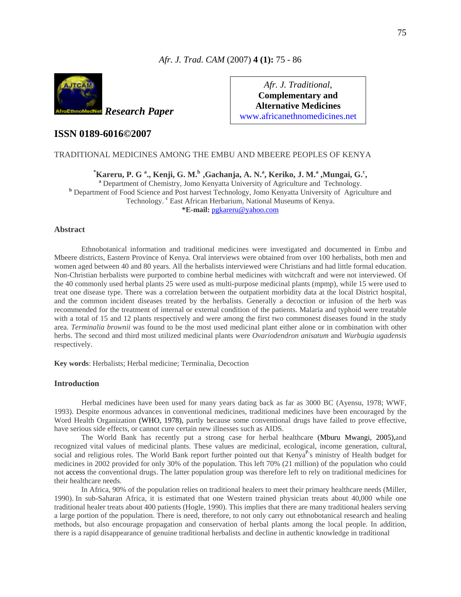### *Afr. J. Trad. CAM* (2007) **4 (1):** 75 - 86



*Afr. J. Traditional*, **Complementary and Alternative Medicines**  www.africanethnomedicines.net

## **ISSN 0189-6016©2007**

#### TRADITIONAL MEDICINES AMONG THE EMBU AND MBEERE PEOPLES OF KENYA

**Example 3.1. F. G. 3., Kenji, G. M.** b **, Gachanja, A. N.** a, Keriko, J. M. a, Mungai, G. c, a Department of Chemistry, Jomo Kenyatta University of Agriculture and Technology. <sup>b</sup> Department of Food Science and Post harvest Technology, Jomo Kenyatta University of Agriculture and Technology. **<sup>c</sup>** East African Herbarium, National Museums of Kenya. **\*E-mail:** [pgkareru@yahoo.com](mailto:pgkareru@yahoo.com)

#### **Abstract**

Ethnobotanical information and traditional medicines were investigated and documented in Embu and Mbeere districts, Eastern Province of Kenya. Oral interviews were obtained from over 100 herbalists, both men and women aged between 40 and 80 years. All the herbalists interviewed were Christians and had little formal education. Non-Christian herbalists were purported to combine herbal medicines with witchcraft and were not interviewed. Of the 40 commonly used herbal plants 25 were used as multi-purpose medicinal plants (mpmp), while 15 were used to treat one disease type. There was a correlation between the outpatient morbidity data at the local District hospital, and the common incident diseases treated by the herbalists. Generally a decoction or infusion of the herb was recommended for the treatment of internal or external condition of the patients. Malaria and typhoid were treatable with a total of 15 and 12 plants respectively and were among the first two commonest diseases found in the study area. *Terminalia brownii* was found to be the most used medicinal plant either alone or in combination with other herbs. The second and third most utilized medicinal plants were *Ovariodendron anisatum* and *Wurbugia ugadensis* respectively.

**Key words**: Herbalists; Herbal medicine; Terminalia, Decoction

#### **Introduction**

Herbal medicines have been used for many years dating back as far as 3000 BC (Ayensu, 1978; WWF, 1993). Despite enormous advances in conventional medicines, traditional medicines have been encouraged by the Word Health Organization (WHO, 1978), partly because some conventional drugs have failed to prove effective, have serious side effects, or cannot cure certain new illnesses such as AIDS.

The World Bank has recently put a strong case for herbal healthcare (Mburu Mwangi, 2005),and recognized vital values of medicinal plants. These values are medicinal, ecological, income generation, cultural, social and religious roles. The World Bank report further pointed out that Kenya<sup>P</sup>'s ministry of Health budget for medicines in 2002 provided for only 30% of the population. This left 70% (21 million) of the population who could not access the conventional drugs. The latter population group was therefore left to rely on traditional medicines for their healthcare needs.

In Africa, 90% of the population relies on traditional healers to meet their primary healthcare needs (Miller, 1990). In sub-Saharan Africa, it is estimated that one Western trained physician treats about 40,000 while one traditional healer treats about 400 patients (Hogle, 1990). This implies that there are many traditional healers serving a large portion of the population. There is need, therefore, to not only carry out ethnobotanical research and healing methods, but also encourage propagation and conservation of herbal plants among the local people. In addition, there is a rapid disappearance of genuine traditional herbalists and decline in authentic knowledge in traditional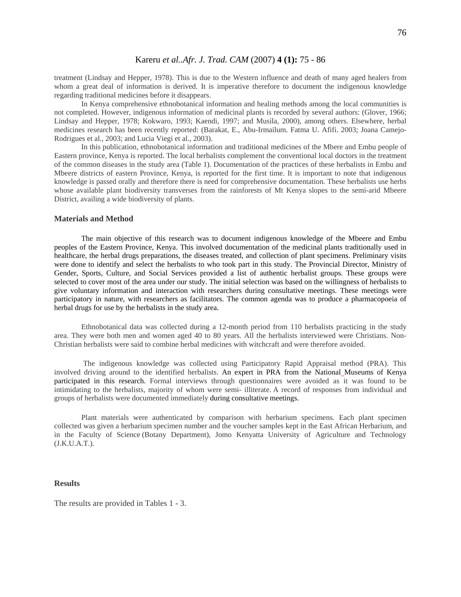#### Kareru *et al..Afr. J. Trad. CAM* (2007) **4 (1):** 75 - 86

treatment (Lindsay and Hepper, 1978). This is due to the Western influence and death of many aged healers from whom a great deal of information is derived. It is imperative therefore to document the indigenous knowledge regarding traditional medicines before it disappears.

In Kenya comprehensive ethnobotanical information and healing methods among the local communities is not completed. However, indigenous information of medicinal plants is recorded by several authors: (Glover, 1966; Lindsay and Hepper, 1978; Kokwaro, 1993; Kaendi, 1997; and Musila, 2000), among others. Elsewhere, herbal medicines research has been recently reported: (Barakat, E., Abu-Irmailum. Fatma U. Afifi. 2003; Joana Camejo-Rodrigues et al., 2003; and Lucia Viegi et al., 2003).

In this publication, ethnobotanical information and traditional medicines of the Mbere and Embu people of Eastern province, Kenya is reported. The local herbalists complement the conventional local doctors in the treatment of the common diseases in the study area (Table 1). Documentation of the practices of these herbalists in Embu and Mbeere districts of eastern Province, Kenya, is reported for the first time. It is important to note that indigenous knowledge is passed orally and therefore there is need for comprehensive documentation. These herbalists use herbs whose available plant biodiversity transverses from the rainforests of Mt Kenya slopes to the semi-arid Mbeere District, availing a wide biodiversity of plants.

#### **Materials and Method**

The main objective of this research was to document indigenous knowledge of the Mbeere and Embu peoples of the Eastern Province, Kenya. This involved documentation of the medicinal plants traditionally used in healthcare, the herbal drugs preparations, the diseases treated, and collection of plant specimens. Preliminary visits were done to identify and select the herbalists to who took part in this study. The Provincial Director, Ministry of Gender, Sports, Culture, and Social Services provided a list of authentic herbalist groups. These groups were selected to cover most of the area under our study. The initial selection was based on the willingness of herbalists to give voluntary information and interaction with researchers during consultative meetings. These meetings were participatory in nature, with researchers as facilitators. The common agenda was to produce a pharmacopoeia of herbal drugs for use by the herbalists in the study area.

 Ethnobotanical data was collected during a 12-month period from 110 herbalists practicing in the study area. They were both men and women aged 40 to 80 years. All the herbalists interviewed were Christians. Non-Christian herbalists were said to combine herbal medicines with witchcraft and were therefore avoided.

 The indigenous knowledge was collected using Participatory Rapid Appraisal method (PRA). This involved driving around to the identified herbalists. An expert in PRA from the National Museums of Kenya participated in this research. Formal interviews through questionnaires were avoided as it was found to be intimidating to the herbalists, majority of whom were semi- illiterate. A record of responses from individual and groups of herbalists were documented immediately during consultative meetings.

Plant materials were authenticated by comparison with herbarium specimens. Each plant specimen collected was given a herbarium specimen number and the voucher samples kept in the East African Herbarium, and in the Faculty of Science (Botany Department), Jomo Kenyatta University of Agriculture and Technology (J.K.U.A.T.).

#### **Results**

The results are provided in Tables 1 - 3.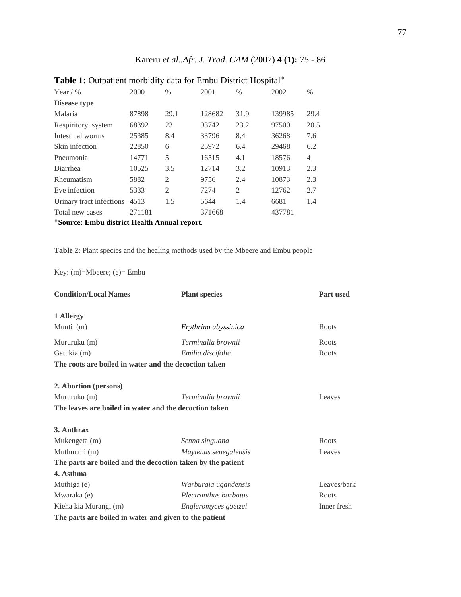# Kareru *et al..Afr. J. Trad. CAM* (2007) **4 (1):** 75 - 86

| Year / $\%$                                  | 2000   | $\frac{0}{0}$  | 2001   | $\%$           | 2002   | $\%$ |
|----------------------------------------------|--------|----------------|--------|----------------|--------|------|
| Disease type                                 |        |                |        |                |        |      |
| Malaria                                      | 87898  | 29.1           | 128682 | 31.9           | 139985 | 29.4 |
| Respiritory. system                          | 68392  | 23             | 93742  | 23.2           | 97500  | 20.5 |
| Intestinal worms                             | 25385  | 8.4            | 33796  | 8.4            | 36268  | 7.6  |
| Skin infection                               | 22850  | 6              | 25972  | 6.4            | 29468  | 6.2  |
| Pneumonia                                    | 14771  | 5              | 16515  | 4.1            | 18576  | 4    |
| Diarrhea                                     | 10525  | 3.5            | 12714  | 3.2            | 10913  | 2.3  |
| Rheumatism                                   | 5882   | 2              | 9756   | 2.4            | 10873  | 2.3  |
| Eye infection                                | 5333   | $\mathfrak{D}$ | 7274   | $\mathfrak{D}$ | 12762  | 2.7  |
| Urinary tract infections                     | 4513   | 1.5            | 5644   | 1.4            | 6681   | 1.4  |
| Total new cases                              | 271181 |                | 371668 |                | 437781 |      |
| *Source: Embu district Health Annual report. |        |                |        |                |        |      |

# **Table 1:** Outpatient morbidity data for Embu District Hospital٭

**Table 2:** Plant species and the healing methods used by the Mbeere and Embu people

Key: (m)=Mbeere; (e)= Embu

| <b>Condition/Local Names</b>                                | <b>Plant species</b>  | <b>Part used</b> |
|-------------------------------------------------------------|-----------------------|------------------|
| 1 Allergy                                                   |                       |                  |
| Muuti (m)                                                   | Erythrina abyssinica  | Roots            |
| Mururuku (m)                                                | Terminalia brownii    | Roots            |
| Gatukia (m)                                                 | Emilia discifolia     | Roots            |
| The roots are boiled in water and the decoction taken       |                       |                  |
| 2. Abortion (persons)                                       |                       |                  |
| Mururuku (m)                                                | Terminalia brownii    | Leaves           |
| The leaves are boiled in water and the decoction taken      |                       |                  |
| 3. Anthrax                                                  |                       |                  |
| Mukengeta (m)                                               | Senna singuana        | Roots            |
| Muthunthi (m)                                               | Maytenus senegalensis | Leaves           |
| The parts are boiled and the decoction taken by the patient |                       |                  |
| 4. Asthma                                                   |                       |                  |
| Muthiga (e)                                                 | Warburgia ugandensis  | Leaves/bark      |
| Mwaraka (e)                                                 | Plectranthus barbatus | Roots            |
| Kieha kia Murangi (m)                                       | Engleromyces goetzei  | Inner fresh      |
| The parts are boiled in water and given to the patient      |                       |                  |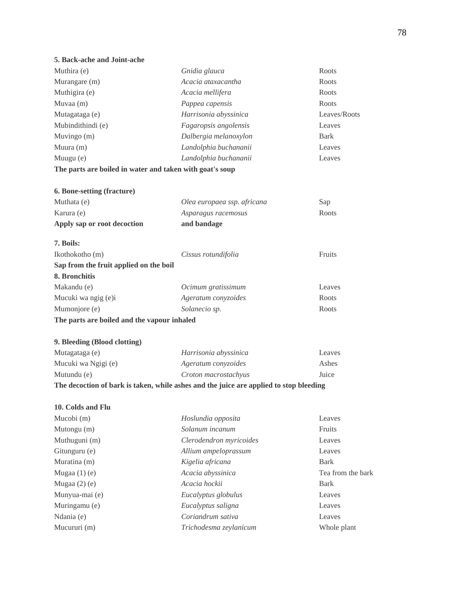### **5. Back-ache and Joint-ache**

| Muthira (e)       | Gnidia glauca         | Roots        |
|-------------------|-----------------------|--------------|
| Murangare (m)     | Acacia ataxacantha    | Roots        |
| Muthigira (e)     | Acacia mellifera      | Roots        |
| Muvaa $(m)$       | Pappea capensis       | Roots        |
| Mutagataga (e)    | Harrisonia abyssinica | Leaves/Roots |
| Mubindithindi (e) | Fagaropsis angolensis | Leaves       |
| Muvingo $(m)$     | Dalbergia melanoxylon | Bark         |
| Muura $(m)$       | Landolphia buchananii | Leaves       |
| Muugu $(e)$       | Landolphia buchananii | Leaves       |
|                   |                       |              |

## **The parts are boiled in water and taken with goat's soup**

| <b>6. Bone-setting (fracture)</b> |                             |               |
|-----------------------------------|-----------------------------|---------------|
| Muthata (e)                       | Olea europaea ssp. africana | Sap           |
| Karura (e)                        | Asparagus racemosus         | Roots         |
| Apply sap or root decoction       | and bandage                 |               |
| 7. Boils:                         |                             |               |
| Ikothokotho (m)                   | Cissus rotundifolia         | <b>Fruits</b> |

| Sap from the fruit applied on the boil      |                     |        |  |
|---------------------------------------------|---------------------|--------|--|
| 8. Bronchitis                               |                     |        |  |
| Makandu (e)                                 | Ocimum gratissimum  | Leaves |  |
| Mucuki wa ngig (e)i                         | Ageratum convzoides | Roots  |  |
| Mumoniore (e)                               | Solanecio sp.       | Roots  |  |
| The parts are boiled and the vapour inhaled |                     |        |  |

### **9. Bleeding (Blood clotting)**

| The decoction of bark is taken, while ashes and the juice are applied to stop bleeding |                       |        |  |  |
|----------------------------------------------------------------------------------------|-----------------------|--------|--|--|
| Mutundu (e)                                                                            | Croton macrostachyus  | Juice  |  |  |
| Mucuki wa Ngigi (e)                                                                    | Ageratum convzoides   | Ashes  |  |  |
| Mutagataga (e)                                                                         | Harrisonia abyssinica | Leaves |  |  |

### **10. Colds and Flu**

| Mucobi $(m)$      | Hoslundia opposita      | Leaves            |
|-------------------|-------------------------|-------------------|
| Mutongu $(m)$     | Solanum incanum         | Fruits            |
| Muthuguni (m)     | Clerodendron myricoides | Leaves            |
| Gitunguru (e)     | Allium ampeloprassum    | Leaves            |
| Muratina (m)      | Kigelia africana        | <b>Bark</b>       |
| Mugaa $(1)$ $(e)$ | Acacia abyssinica       | Tea from the bark |
| Mugaa $(2)$ $(e)$ | Acacia hockii           | <b>Bark</b>       |
| Munyua-mai (e)    | Eucalyptus globulus     | Leaves            |
| Muringamu (e)     | Eucalyptus saligna      | Leaves            |
| Ndania (e)        | Coriandrum sativa       | Leaves            |
| Mucururi (m)      | Trichodesma zeylanicum  | Whole plant       |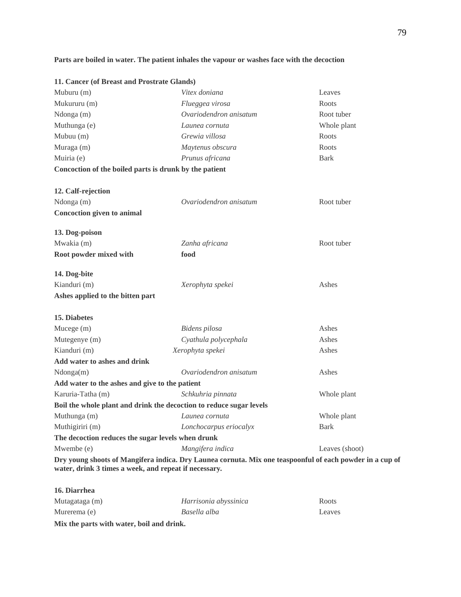## **Parts are boiled in water. The patient inhales the vapour or washes face with the decoction**

|                                                                     | 11. Cancer (of Breast and Prostrate Glands)                                                                                                                       |                |  |  |  |
|---------------------------------------------------------------------|-------------------------------------------------------------------------------------------------------------------------------------------------------------------|----------------|--|--|--|
| Muburu (m)                                                          | Vitex doniana                                                                                                                                                     | Leaves         |  |  |  |
| Mukururu (m)                                                        | Flueggea virosa                                                                                                                                                   | Roots          |  |  |  |
| Ndonga (m)                                                          | Ovariodendron anisatum                                                                                                                                            | Root tuber     |  |  |  |
| Muthunga (e)                                                        | Launea cornuta                                                                                                                                                    | Whole plant    |  |  |  |
| Mubuu (m)                                                           | Grewia villosa                                                                                                                                                    | Roots          |  |  |  |
| Muraga (m)                                                          | Maytenus obscura                                                                                                                                                  | Roots          |  |  |  |
| Muiria (e)                                                          | Prunus africana                                                                                                                                                   | <b>Bark</b>    |  |  |  |
| Concoction of the boiled parts is drunk by the patient              |                                                                                                                                                                   |                |  |  |  |
|                                                                     |                                                                                                                                                                   |                |  |  |  |
| 12. Calf-rejection                                                  |                                                                                                                                                                   |                |  |  |  |
| Ndonga (m)                                                          | Ovariodendron anisatum                                                                                                                                            | Root tuber     |  |  |  |
| <b>Concoction given to animal</b>                                   |                                                                                                                                                                   |                |  |  |  |
| 13. Dog-poison                                                      |                                                                                                                                                                   |                |  |  |  |
| Mwakia (m)                                                          | Zanha africana                                                                                                                                                    | Root tuber     |  |  |  |
| Root powder mixed with                                              | food                                                                                                                                                              |                |  |  |  |
| 14. Dog-bite                                                        |                                                                                                                                                                   |                |  |  |  |
| Kianduri (m)                                                        | Xerophyta spekei                                                                                                                                                  | Ashes          |  |  |  |
| Ashes applied to the bitten part                                    |                                                                                                                                                                   |                |  |  |  |
|                                                                     |                                                                                                                                                                   |                |  |  |  |
| <b>15. Diabetes</b>                                                 |                                                                                                                                                                   |                |  |  |  |
| Mucege (m)                                                          | Bidens pilosa                                                                                                                                                     | Ashes          |  |  |  |
| Mutegenye (m)                                                       | Cyathula polycephala                                                                                                                                              | Ashes          |  |  |  |
| Kianduri (m)                                                        | Xerophyta spekei                                                                                                                                                  | Ashes          |  |  |  |
| Add water to ashes and drink                                        |                                                                                                                                                                   |                |  |  |  |
| Ndonga(m)                                                           | Ovariodendron anisatum                                                                                                                                            | Ashes          |  |  |  |
| Add water to the ashes and give to the patient                      |                                                                                                                                                                   |                |  |  |  |
| Karuria-Tatha (m)                                                   | Schkuhria pinnata                                                                                                                                                 | Whole plant    |  |  |  |
| Boil the whole plant and drink the decoction to reduce sugar levels |                                                                                                                                                                   |                |  |  |  |
| Muthunga (m)                                                        | Launea cornuta                                                                                                                                                    | Whole plant    |  |  |  |
| Muthigiriri (m)                                                     | Lonchocarpus eriocalyx                                                                                                                                            | <b>Bark</b>    |  |  |  |
| The decoction reduces the sugar levels when drunk                   |                                                                                                                                                                   |                |  |  |  |
| Mwembe (e)                                                          | Mangifera indica                                                                                                                                                  | Leaves (shoot) |  |  |  |
|                                                                     | Dry young shoots of Mangifera indica. Dry Launea cornuta. Mix one teaspoonful of each powder in a cup of<br>water, drink 3 times a week, and repeat if necessary. |                |  |  |  |

# **16. Diarrhea** Mutagataga (m) *Harrisonia abyssinica* Roots Murerema (e) *Basella alba* Leaves

**Mix the parts with water, boil and drink.**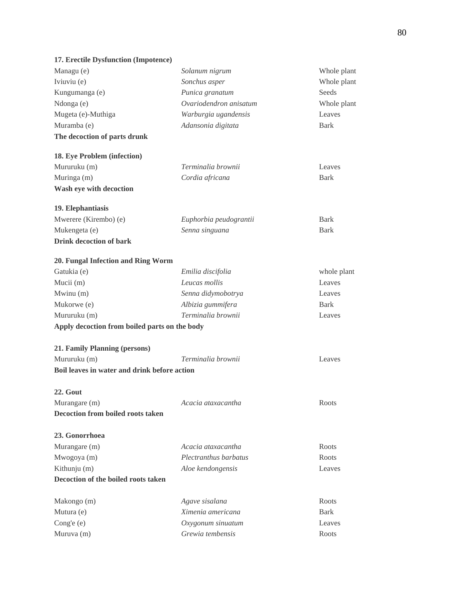# **17. Erectile Dysfunction (Impotence)**

| Managu (e)                                    | Solanum nigrum         | Whole plant |
|-----------------------------------------------|------------------------|-------------|
| Iviuviu (e)                                   | Sonchus asper          | Whole plant |
| Kungumanga (e)                                | Punica granatum        | Seeds       |
| Ndonga (e)                                    | Ovariodendron anisatum | Whole plant |
| Mugeta (e)-Muthiga                            | Warburgia ugandensis   | Leaves      |
| Muramba (e)                                   | Adansonia digitata     | <b>Bark</b> |
| The decoction of parts drunk                  |                        |             |
| 18. Eye Problem (infection)                   |                        |             |
| Mururuku (m)                                  | Terminalia brownii     | Leaves      |
| Muringa (m)                                   | Cordia africana        | <b>Bark</b> |
| Wash eye with decoction                       |                        |             |
| 19. Elephantiasis                             |                        |             |
| Mwerere (Kirembo) (e)                         | Euphorbia peudograntii | <b>Bark</b> |
| Mukengeta (e)                                 | Senna singuana         | <b>Bark</b> |
| <b>Drink decoction of bark</b>                |                        |             |
| 20. Fungal Infection and Ring Worm            |                        |             |
| Gatukia (e)                                   | Emilia discifolia      | whole plant |
| Mucii (m)                                     | Leucas mollis          | Leaves      |
| Mwinu (m)                                     | Senna didymobotrya     | Leaves      |
| Mukorwe (e)                                   | Albizia gummifera      | <b>Bark</b> |
| Mururuku (m)                                  | Terminalia brownii     | Leaves      |
| Apply decoction from boiled parts on the body |                        |             |
| 21. Family Planning (persons)                 |                        |             |
| Mururuku (m)                                  | Terminalia brownii     | Leaves      |
| Boil leaves in water and drink before action  |                        |             |
| 22. Gout                                      |                        |             |
| Murangare (m)                                 | Acacia ataxacantha     | Roots       |
| Decoction from boiled roots taken             |                        |             |
| 23. Gonorrhoea                                |                        |             |
| Murangare (m)                                 | Acacia ataxacantha     | Roots       |
| Mwogoya (m)                                   | Plectranthus barbatus  | Roots       |
| Kithunju (m)                                  | Aloe kendongensis      | Leaves      |
| Decoction of the boiled roots taken           |                        |             |
|                                               |                        |             |
| Makongo (m)                                   | Agave sisalana         | Roots       |
| Mutura (e)                                    | Ximenia americana      | <b>Bark</b> |
| Cong'e (e)                                    | Oxygonum sinuatum      | Leaves      |
| Muruva (m)                                    | Grewia tembensis       | Roots       |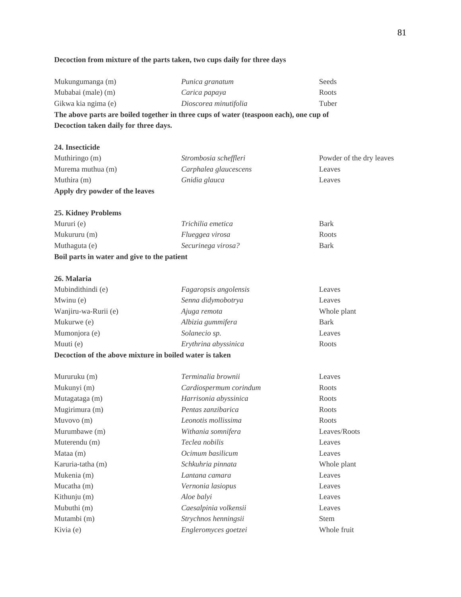# **Decoction from mixture of the parts taken, two cups daily for three days**

| Decoction taken daily for three days.                                                  |                       |       |  |  |
|----------------------------------------------------------------------------------------|-----------------------|-------|--|--|
| The above parts are boiled together in three cups of water (teaspoon each), one cup of |                       |       |  |  |
| Gikwa kia ngima (e)                                                                    | Dioscorea minutifolia | Tuber |  |  |
| Mubabai (male) (m)                                                                     | Carica papaya         | Roots |  |  |
| Mukungumanga (m)                                                                       | Punica granatum       | Seeds |  |  |

| 24. Insecticide                |                       |                          |
|--------------------------------|-----------------------|--------------------------|
| Muthiringo (m)                 | Strombosia scheffleri | Powder of the dry leaves |
| Murema muthua (m)              | Carphalea glaucescens | Leaves                   |
| Muthira (m)                    | Gnidia glauca         | Leaves                   |
| Apply dry powder of the leaves |                       |                          |
| <b>25. Kidney Problems</b>     |                       |                          |
| Mururi (e)                     | Trichilia emetica     | <b>Bark</b>              |
| Mukururu (m)                   | Flueggea virosa       | Roots                    |

| Boil parts in water and give to the patient |                    |      |  |
|---------------------------------------------|--------------------|------|--|
| Muthaguta (e)                               | Securinega virosa? | Bark |  |
| $1$ viunui uiu $\binom{1}{1}$               | T the great virosa | www  |  |

## **26. Malaria**

| Mubindithindi (e)                                                                                                                                                                                                                                         | Fagaropsis angolensis | Leaves      |
|-----------------------------------------------------------------------------------------------------------------------------------------------------------------------------------------------------------------------------------------------------------|-----------------------|-------------|
| Mwinu (e)                                                                                                                                                                                                                                                 | Senna didymobotrya    | Leaves      |
| Wanjiru-wa-Rurii (e)                                                                                                                                                                                                                                      | Ajuga remota          | Whole plant |
| Mukurwe (e)                                                                                                                                                                                                                                               | Albizia gummifera     | Bark        |
| Mumonjora (e)                                                                                                                                                                                                                                             | Solanecio sp.         | Leaves      |
| Muuti (e)                                                                                                                                                                                                                                                 | Erythrina abyssinica  | Roots       |
| $\mathbf{D}_{\text{max}}$ , $\mathbf{A}_{\text{max}}$ , $\mathbf{B}_{\text{max}}$ , $\mathbf{L}_{\text{max}}$ , $\mathbf{L}_{\text{max}}$ , $\mathbf{L}_{\text{max}}$ , $\mathbf{L}_{\text{max}}$ , $\mathbf{L}_{\text{max}}$ , $\mathbf{L}_{\text{max}}$ |                       |             |

#### **Decoction of the above mixture in boiled water is taken**

| Mururuku (m)      | Terminalia brownii     | Leaves       |
|-------------------|------------------------|--------------|
| Mukunyi (m)       | Cardiospermum corindum | Roots        |
| Mutagataga (m)    | Harrisonia abyssinica  | Roots        |
| Mugirimura (m)    | Pentas zanzibarica     | Roots        |
| Muyovo $(m)$      | Leonotis mollissima    | Roots        |
| Murumbawe (m)     | Withania somnifera     | Leaves/Roots |
| Muterendu (m)     | Teclea nobilis         | Leaves       |
| Mataa (m)         | Ocimum basilicum       | Leaves       |
| Karuria-tatha (m) | Schkuhria pinnata      | Whole plant  |
| Mukenia (m)       | Lantana camara         | Leaves       |
| Mucatha (m)       | Vernonia lasiopus      | Leaves       |
| Kithunju (m)      | Aloe balyi             | Leaves       |
| Mubuthi (m)       | Caesalpinia volkensii  | Leaves       |
| Mutambi (m)       | Strychnos henningsii   | <b>Stem</b>  |
| Kivia (e)         | Engleromyces goetzei   | Whole fruit  |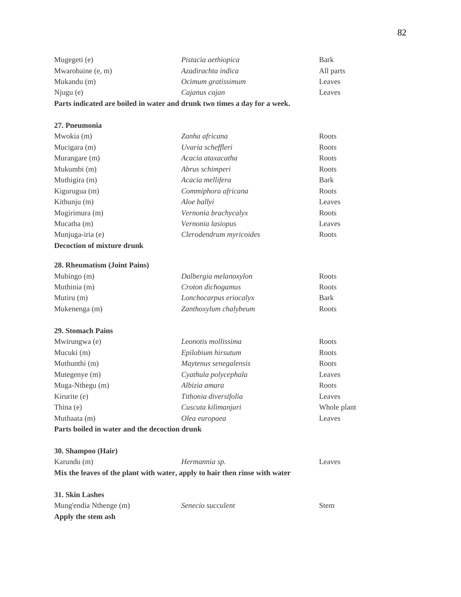| Parts indicated are boiled in water and drunk two times a day for a week. |                     |             |
|---------------------------------------------------------------------------|---------------------|-------------|
| $N$ jugu $(e)$                                                            | Cajanus cajan       | Leaves      |
| Mukandu (m)                                                               | Ocimum gratissimum  | Leaves      |
| Mwarobaine (e, m)                                                         | Azadirachta indica  | All parts   |
| Mugegeti (e)                                                              | Pistacia aethiopica | <b>Bark</b> |

### **27. Pneumonia**

| Mwokia (m)                 | Zanha africana          | Roots       |
|----------------------------|-------------------------|-------------|
| Mucigara (m)               | Uvaria scheffleri       | Roots       |
| Murangare (m)              | Acacia ataxacatha       | Roots       |
| Mukumbi (m)                | Abrus schimperi         | Roots       |
| Muthigira (m)              | Acacia mellifera        | <b>Bark</b> |
| Kigurugua (m)              | Commiphora africana     | Roots       |
| Kithunju $(m)$             | Aloe ballyi             | Leaves      |
| Mugirimura (m)             | Vernonia brachycalyx    | Roots       |
| Mucatha $(m)$              | Vernonia lasiopus       | Leaves      |
| Munjuga-iria (e)           | Clerodendrum myricoides | Roots       |
| Decoction of mixture drunk |                         |             |

#### **28. Rheumatism (Joint Pains)**

| Mubingo $(m)$   | Dalbergia melanoxylon  | Roots       |
|-----------------|------------------------|-------------|
| Muthinia (m)    | Croton dichogamus      | Roots       |
| Mutiru $(m)$    | Lonchocarpus eriocalyx | <b>Bark</b> |
| Mukenenga $(m)$ | Zanthoxylum chalybeum  | Roots       |

#### **29. Stomach Pains**

| Mwirungwa (e)   | Leonotis mollissima   | Roots       |
|-----------------|-----------------------|-------------|
| Mucuki (m)      | Epilobium hirsutum    | Roots       |
| Muthunthi (m)   | Maytenus senegalensis | Roots       |
| Mutegenye (m)   | Cyathula polycephala  | Leaves      |
| Muga-Nthegu (m) | Albizia amara         | Roots       |
| Kirurite (e)    | Tithonia diversifolia | Leaves      |
| Thina (e)       | Cuscuta kilimanjari   | Whole plant |
| Muthaata (m)    | Olea europaea         | Leaves      |
|                 |                       |             |

## **Parts boiled in water and the decoction drunk**

| 30. Shampoo (Hair)                                                          |               |        |
|-----------------------------------------------------------------------------|---------------|--------|
| Karundu (m)                                                                 | Hermannia sp. | Leaves |
| Mix the leaves of the plant with water, apply to hair then rinse with water |               |        |

## **31. Skin Lashes** Mung'endia Nthenge (m) *Senecio succulent* Stem **Apply the stem ash**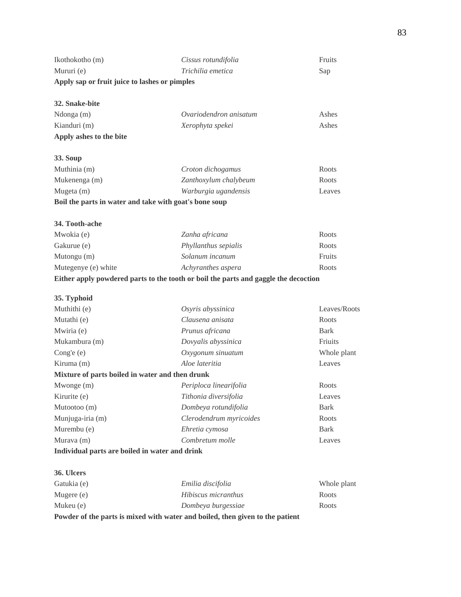| Apply sap or fruit juice to lashes or pimples |                     |        |
|-----------------------------------------------|---------------------|--------|
| Mururi (e)                                    | Trichilia emetica   | Sap    |
| Ikothokotho (m)                               | Cissus rotundifolia | Fruits |

## **32. Snake-bite**

| Apply ashes to the bite |                        |       |
|-------------------------|------------------------|-------|
| Kianduri (m)            | Xerophyta spekei       | Ashes |
| $N$ donga $(m)$         | Ovariodendron anisatum | Ashes |

## **33. Soup**

| Muthinia (m)                                           | Croton dichogamus     | Roots  |
|--------------------------------------------------------|-----------------------|--------|
| Mukenenga (m)                                          | Zanthoxylum chalybeum | Roots  |
| Mugeta (m)                                             | Warburgia ugandensis  | Leaves |
| Boil the parts in water and take with goat's bone soup |                       |        |

### **34. Tooth-ache**

| Mwokia (e)          | Zanha africana              | Roots  |
|---------------------|-----------------------------|--------|
| Gakurue (e)         | <i>Phyllanthus sepialis</i> | Roots  |
| Mutongu $(m)$       | Solanum incanum             | Fruits |
| Mutegenye (e) white | Achyranthes aspera          | Roots  |
|                     |                             |        |

## **Either apply powdered parts to the tooth or boil the parts and gaggle the decoction**

## **35. Typhoid**

| Muthithi (e)                                    | Osyris abyssinica       | Leaves/Roots |
|-------------------------------------------------|-------------------------|--------------|
| Mutathi (e)                                     | Clausena anisata        | Roots        |
| Mwiria (e)                                      | Prunus africana         | Bark         |
| Mukambura (m)                                   | Dovyalis abyssinica     | Friuits      |
| Cong'e $(e)$                                    | Oxygonum sinuatum       | Whole plant  |
| Kiruma (m)                                      | Aloe lateritia          | Leaves       |
| Mixture of parts boiled in water and then drunk |                         |              |
| Mwonge $(m)$                                    | Periploca linearifolia  | Roots        |
| Kirurite (e)                                    | Tithonia diversifolia   | Leaves       |
| Mutootoo (m)                                    | Dombeya rotundifolia    | <b>Bark</b>  |
| Munjuga-iria (m)                                | Clerodendrum myricoides | Roots        |
| Murembu (e)                                     | Ehretia cymosa          | Bark         |
| Murava $(m)$                                    | Combretum molle         | Leaves       |
| Individual parts are boiled in water and drink  |                         |              |

## **36. Ulcers**

| Powder of the parts is mixed with water and boiled, then given to the patient |                     |             |  |  |  |  |
|-------------------------------------------------------------------------------|---------------------|-------------|--|--|--|--|
| Mukeu (e)                                                                     | Dombeya burgessiae  | Roots       |  |  |  |  |
| Mugere (e)                                                                    | Hibiscus micranthus | Roots       |  |  |  |  |
| Gatukia (e)                                                                   | Emilia discifolia   | Whole plant |  |  |  |  |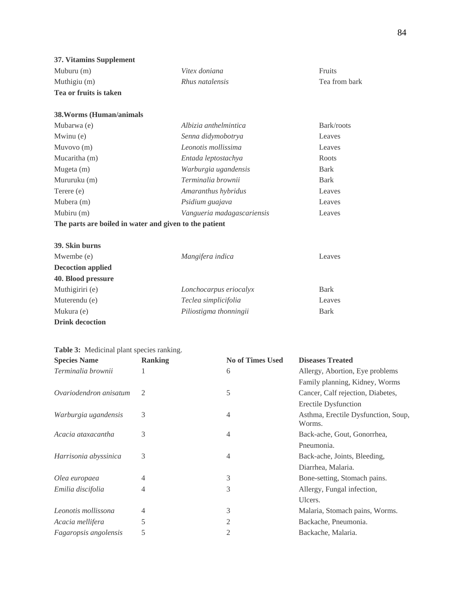| 37. Vitamins Supplement                                |                                      |               |
|--------------------------------------------------------|--------------------------------------|---------------|
| Muburu $(m)$                                           | Vitex doniana                        | Fruits        |
| Muthigiu (m)                                           | Rhus natalensis                      | Tea from bark |
| Tea or fruits is taken                                 |                                      |               |
| 38. Worms (Human/animals                               |                                      |               |
| Mubarwa (e)                                            | Albizia anthelmintica                | Bark/roots    |
| Mwinu (e)                                              | Senna didymobotrya                   | Leaves        |
| Muvovo (m)                                             | Leonotis mollissima                  | Leaves        |
| Mucaritha (m)                                          | Entada leptostachya                  | Roots         |
| Mugeta (m)                                             | Warburgia ugandensis                 | <b>Bark</b>   |
| Mururuku (m)                                           | Terminalia brownii                   | <b>Bark</b>   |
| Terere (e)                                             | Amaranthus hybridus                  | Leaves        |
| Mubera (m)                                             | Psidium guajava                      | Leaves        |
| Mubiru (m)                                             | Vangueria madagascariensis<br>Leaves |               |
| The parts are boiled in water and given to the patient |                                      |               |
| 39. Skin burns                                         |                                      |               |
| Mwembe (e)                                             | Mangifera indica                     | Leaves        |
| <b>Decoction applied</b>                               |                                      |               |
| 40. Blood pressure                                     |                                      |               |
| Muthigiriri (e)                                        | Lonchocarpus eriocalyx               | <b>Bark</b>   |
| Muterendu (e)                                          | Teclea simplicifolia                 | Leaves        |
| Mukura (e)                                             | Piliostigma thonningii               | <b>Bark</b>   |

**Drink decoction**

| Table 3: Medicinal plant species ranking. |                |                         |                                               |  |  |  |
|-------------------------------------------|----------------|-------------------------|-----------------------------------------------|--|--|--|
| <b>Species Name</b>                       | <b>Ranking</b> | <b>No of Times Used</b> | <b>Diseases Treated</b>                       |  |  |  |
| Terminalia brownii                        |                | 6                       | Allergy, Abortion, Eye problems               |  |  |  |
|                                           |                |                         | Family planning, Kidney, Worms                |  |  |  |
| Ovariodendron anisatum                    | $\mathcal{L}$  | 5                       | Cancer, Calf rejection, Diabetes,             |  |  |  |
|                                           |                |                         | Erectile Dysfunction                          |  |  |  |
| Warburgia ugandensis                      | 3              | $\overline{4}$          | Asthma, Erectile Dysfunction, Soup,<br>Worms. |  |  |  |
| Acacia ataxacantha                        | 3              | 4                       | Back-ache, Gout, Gonorrhea,                   |  |  |  |
|                                           |                |                         | Pneumonia.                                    |  |  |  |
| Harrisonia abyssinica                     | 3              | $\overline{4}$          | Back-ache, Joints, Bleeding,                  |  |  |  |
|                                           |                |                         | Diarrhea, Malaria.                            |  |  |  |
| Olea europaea                             | 4              | 3                       | Bone-setting, Stomach pains.                  |  |  |  |
| Emilia discifolia                         | 4              | 3                       | Allergy, Fungal infection,                    |  |  |  |
|                                           |                |                         | Ulcers.                                       |  |  |  |
| Leonotis mollissona                       | 4              | 3                       | Malaria, Stomach pains, Worms.                |  |  |  |
| Acacia mellifera                          | 5              | 2                       | Backache, Pneumonia.                          |  |  |  |
| Fagaropsis angolensis                     | 5              | $\overline{2}$          | Backache, Malaria.                            |  |  |  |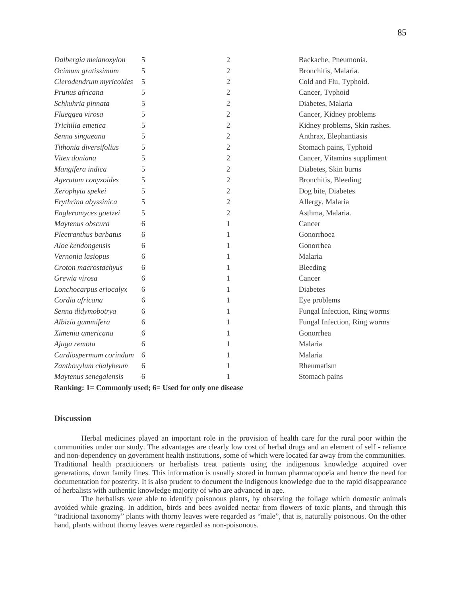| Dalbergia melanoxylon   | 5 | $\sqrt{2}$     | Backache, Pneumonia.          |
|-------------------------|---|----------------|-------------------------------|
| Ocimum gratissimum      | 5 | 2              | Bronchitis, Malaria.          |
| Clerodendrum myricoides | 5 | 2              | Cold and Flu, Typhoid.        |
| Prunus africana         | 5 | 2              | Cancer, Typhoid               |
| Schkuhria pinnata       | 5 | $\overline{c}$ | Diabetes, Malaria             |
| Flueggea virosa         | 5 | 2              | Cancer, Kidney problems       |
| Trichilia emetica       | 5 | $\overline{c}$ | Kidney problems, Skin rashes. |
| Senna singueana         | 5 | 2              | Anthrax, Elephantiasis        |
| Tithonia diversifolius  | 5 | $\overline{c}$ | Stomach pains, Typhoid        |
| Vitex doniana           | 5 | $\overline{2}$ | Cancer, Vitamins suppliment   |
| Mangifera indica        | 5 | $\overline{c}$ | Diabetes, Skin burns          |
| Ageratum conyzoides     | 5 | $\overline{c}$ | Bronchitis, Bleeding          |
| Xerophyta spekei        | 5 | $\overline{c}$ | Dog bite, Diabetes            |
| Erythrina abyssinica    | 5 | $\overline{c}$ | Allergy, Malaria              |
| Engleromyces goetzei    | 5 | $\overline{c}$ | Asthma, Malaria.              |
| Maytenus obscura        | 6 | 1              | Cancer                        |
| Plectranthus barbatus   | 6 | 1              | Gonorrhoea                    |
| Aloe kendongensis       | 6 | 1              | Gonorrhea                     |
| Vernonia lasiopus       | 6 | 1              | Malaria                       |
| Croton macrostachyus    | 6 | 1              | Bleeding                      |
| Grewia virosa           | 6 | 1              | Cancer                        |
| Lonchocarpus eriocalyx  | 6 | 1              | <b>Diabetes</b>               |
| Cordia africana         | 6 | 1              | Eye problems                  |
| Senna didymobotrya      | 6 | 1              | Fungal Infection, Ring worms  |
| Albizia gummifera       | 6 | 1              | Fungal Infection, Ring worms  |
| Ximenia americana       | 6 | 1              | Gonorrhea                     |
| Ajuga remota            | 6 | 1              | Malaria                       |
| Cardiospermum corindum  | 6 | 1              | Malaria                       |
| Zanthoxylum chalybeum   | 6 | 1              | Rheumatism                    |
| Maytenus senegalensis   | 6 | 1              | Stomach pains                 |

**Ranking: 1= Commonly used; 6= Used for only one disease**

#### **Discussion**

Herbal medicines played an important role in the provision of health care for the rural poor within the communities under our study. The advantages are clearly low cost of herbal drugs and an element of self - reliance and non-dependency on government health institutions, some of which were located far away from the communities. Traditional health practitioners or herbalists treat patients using the indigenous knowledge acquired over generations, down family lines. This information is usually stored in human pharmacopoeia and hence the need for documentation for posterity. It is also prudent to document the indigenous knowledge due to the rapid disappearance of herbalists with authentic knowledge majority of who are advanced in age.

The herbalists were able to identify poisonous plants, by observing the foliage which domestic animals avoided while grazing. In addition, birds and bees avoided nectar from flowers of toxic plants, and through this "traditional taxonomy" plants with thorny leaves were regarded as "male", that is, naturally poisonous. On the other hand, plants without thorny leaves were regarded as non-poisonous.